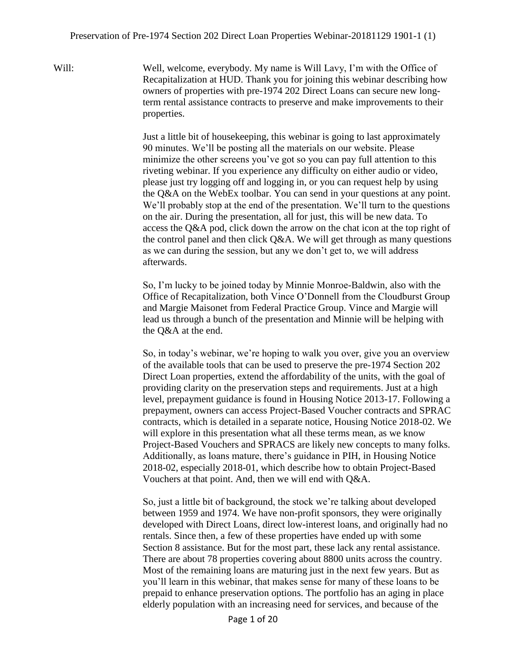Will: Well, welcome, everybody. My name is Will Lavy, I'm with the Office of Recapitalization at HUD. Thank you for joining this webinar describing how owners of properties with pre-1974 202 Direct Loans can secure new longterm rental assistance contracts to preserve and make improvements to their properties.

> Just a little bit of housekeeping, this webinar is going to last approximately 90 minutes. We'll be posting all the materials on our website. Please minimize the other screens you've got so you can pay full attention to this riveting webinar. If you experience any difficulty on either audio or video, please just try logging off and logging in, or you can request help by using the Q&A on the WebEx toolbar. You can send in your questions at any point. We'll probably stop at the end of the presentation. We'll turn to the questions on the air. During the presentation, all for just, this will be new data. To access the Q&A pod, click down the arrow on the chat icon at the top right of the control panel and then click Q&A. We will get through as many questions as we can during the session, but any we don't get to, we will address afterwards.

> So, I'm lucky to be joined today by Minnie Monroe-Baldwin, also with the Office of Recapitalization, both Vince O'Donnell from the Cloudburst Group and Margie Maisonet from Federal Practice Group. Vince and Margie will lead us through a bunch of the presentation and Minnie will be helping with the Q&A at the end.

> So, in today's webinar, we're hoping to walk you over, give you an overview of the available tools that can be used to preserve the pre-1974 Section 202 Direct Loan properties, extend the affordability of the units, with the goal of providing clarity on the preservation steps and requirements. Just at a high level, prepayment guidance is found in Housing Notice 2013-17. Following a prepayment, owners can access Project-Based Voucher contracts and SPRAC contracts, which is detailed in a separate notice, Housing Notice 2018-02. We will explore in this presentation what all these terms mean, as we know Project-Based Vouchers and SPRACS are likely new concepts to many folks. Additionally, as loans mature, there's guidance in PIH, in Housing Notice 2018-02, especially 2018-01, which describe how to obtain Project-Based Vouchers at that point. And, then we will end with Q&A.

> So, just a little bit of background, the stock we're talking about developed between 1959 and 1974. We have non-profit sponsors, they were originally developed with Direct Loans, direct low-interest loans, and originally had no rentals. Since then, a few of these properties have ended up with some Section 8 assistance. But for the most part, these lack any rental assistance. There are about 78 properties covering about 8800 units across the country. Most of the remaining loans are maturing just in the next few years. But as you'll learn in this webinar, that makes sense for many of these loans to be prepaid to enhance preservation options. The portfolio has an aging in place elderly population with an increasing need for services, and because of the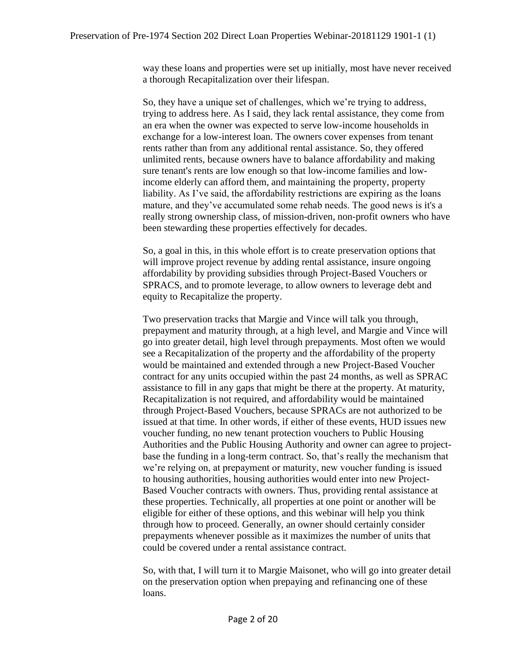way these loans and properties were set up initially, most have never received a thorough Recapitalization over their lifespan.

So, they have a unique set of challenges, which we're trying to address, trying to address here. As I said, they lack rental assistance, they come from an era when the owner was expected to serve low-income households in exchange for a low-interest loan. The owners cover expenses from tenant rents rather than from any additional rental assistance. So, they offered unlimited rents, because owners have to balance affordability and making sure tenant's rents are low enough so that low-income families and lowincome elderly can afford them, and maintaining the property, property liability. As I've said, the affordability restrictions are expiring as the loans mature, and they've accumulated some rehab needs. The good news is it's a really strong ownership class, of mission-driven, non-profit owners who have been stewarding these properties effectively for decades.

So, a goal in this, in this whole effort is to create preservation options that will improve project revenue by adding rental assistance, insure ongoing affordability by providing subsidies through Project-Based Vouchers or SPRACS, and to promote leverage, to allow owners to leverage debt and equity to Recapitalize the property.

Two preservation tracks that Margie and Vince will talk you through, prepayment and maturity through, at a high level, and Margie and Vince will go into greater detail, high level through prepayments. Most often we would see a Recapitalization of the property and the affordability of the property would be maintained and extended through a new Project-Based Voucher contract for any units occupied within the past 24 months, as well as SPRAC assistance to fill in any gaps that might be there at the property. At maturity, Recapitalization is not required, and affordability would be maintained through Project-Based Vouchers, because SPRACs are not authorized to be issued at that time. In other words, if either of these events, HUD issues new voucher funding, no new tenant protection vouchers to Public Housing Authorities and the Public Housing Authority and owner can agree to projectbase the funding in a long-term contract. So, that's really the mechanism that we're relying on, at prepayment or maturity, new voucher funding is issued to housing authorities, housing authorities would enter into new Project-Based Voucher contracts with owners. Thus, providing rental assistance at these properties. Technically, all properties at one point or another will be eligible for either of these options, and this webinar will help you think through how to proceed. Generally, an owner should certainly consider prepayments whenever possible as it maximizes the number of units that could be covered under a rental assistance contract.

So, with that, I will turn it to Margie Maisonet, who will go into greater detail on the preservation option when prepaying and refinancing one of these loans.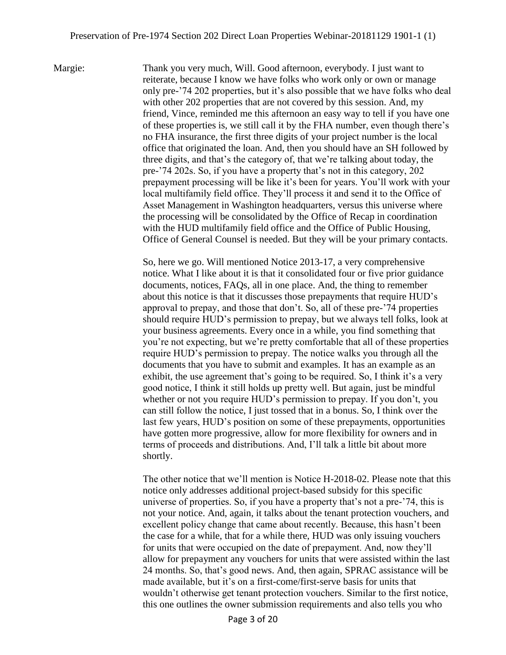Margie: Thank you very much, Will. Good afternoon, everybody. I just want to reiterate, because I know we have folks who work only or own or manage only pre-'74 202 properties, but it's also possible that we have folks who deal with other 202 properties that are not covered by this session. And, my friend, Vince, reminded me this afternoon an easy way to tell if you have one of these properties is, we still call it by the FHA number, even though there's no FHA insurance, the first three digits of your project number is the local office that originated the loan. And, then you should have an SH followed by three digits, and that's the category of, that we're talking about today, the pre-'74 202s. So, if you have a property that's not in this category, 202 prepayment processing will be like it's been for years. You'll work with your local multifamily field office. They'll process it and send it to the Office of Asset Management in Washington headquarters, versus this universe where the processing will be consolidated by the Office of Recap in coordination with the HUD multifamily field office and the Office of Public Housing, Office of General Counsel is needed. But they will be your primary contacts.

> So, here we go. Will mentioned Notice 2013-17, a very comprehensive notice. What I like about it is that it consolidated four or five prior guidance documents, notices, FAQs, all in one place. And, the thing to remember about this notice is that it discusses those prepayments that require HUD's approval to prepay, and those that don't. So, all of these pre-'74 properties should require HUD's permission to prepay, but we always tell folks, look at your business agreements. Every once in a while, you find something that you're not expecting, but we're pretty comfortable that all of these properties require HUD's permission to prepay. The notice walks you through all the documents that you have to submit and examples. It has an example as an exhibit, the use agreement that's going to be required. So, I think it's a very good notice, I think it still holds up pretty well. But again, just be mindful whether or not you require HUD's permission to prepay. If you don't, you can still follow the notice, I just tossed that in a bonus. So, I think over the last few years, HUD's position on some of these prepayments, opportunities have gotten more progressive, allow for more flexibility for owners and in terms of proceeds and distributions. And, I'll talk a little bit about more shortly.

> The other notice that we'll mention is Notice H-2018-02. Please note that this notice only addresses additional project-based subsidy for this specific universe of properties. So, if you have a property that's not a pre-'74, this is not your notice. And, again, it talks about the tenant protection vouchers, and excellent policy change that came about recently. Because, this hasn't been the case for a while, that for a while there, HUD was only issuing vouchers for units that were occupied on the date of prepayment. And, now they'll allow for prepayment any vouchers for units that were assisted within the last 24 months. So, that's good news. And, then again, SPRAC assistance will be made available, but it's on a first-come/first-serve basis for units that wouldn't otherwise get tenant protection vouchers. Similar to the first notice, this one outlines the owner submission requirements and also tells you who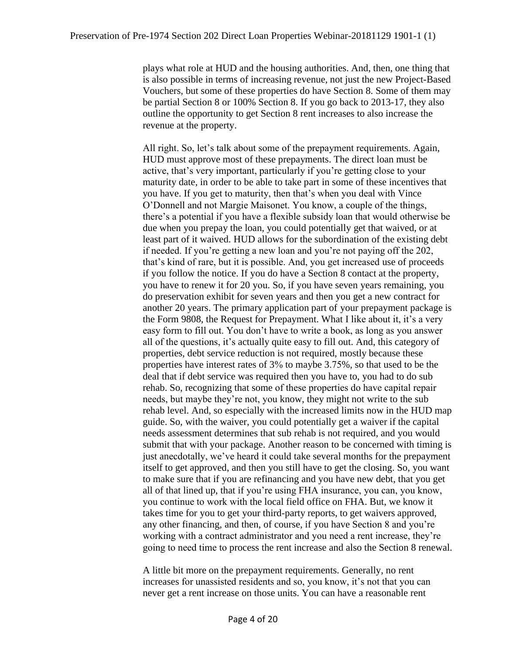plays what role at HUD and the housing authorities. And, then, one thing that is also possible in terms of increasing revenue, not just the new Project-Based Vouchers, but some of these properties do have Section 8. Some of them may be partial Section 8 or 100% Section 8. If you go back to 2013-17, they also outline the opportunity to get Section 8 rent increases to also increase the revenue at the property.

All right. So, let's talk about some of the prepayment requirements. Again, HUD must approve most of these prepayments. The direct loan must be active, that's very important, particularly if you're getting close to your maturity date, in order to be able to take part in some of these incentives that you have. If you get to maturity, then that's when you deal with Vince O'Donnell and not Margie Maisonet. You know, a couple of the things, there's a potential if you have a flexible subsidy loan that would otherwise be due when you prepay the loan, you could potentially get that waived, or at least part of it waived. HUD allows for the subordination of the existing debt if needed. If you're getting a new loan and you're not paying off the 202, that's kind of rare, but it is possible. And, you get increased use of proceeds if you follow the notice. If you do have a Section 8 contact at the property, you have to renew it for 20 you. So, if you have seven years remaining, you do preservation exhibit for seven years and then you get a new contract for another 20 years. The primary application part of your prepayment package is the Form 9808, the Request for Prepayment. What I like about it, it's a very easy form to fill out. You don't have to write a book, as long as you answer all of the questions, it's actually quite easy to fill out. And, this category of properties, debt service reduction is not required, mostly because these properties have interest rates of 3% to maybe 3.75%, so that used to be the deal that if debt service was required then you have to, you had to do sub rehab. So, recognizing that some of these properties do have capital repair needs, but maybe they're not, you know, they might not write to the sub rehab level. And, so especially with the increased limits now in the HUD map guide. So, with the waiver, you could potentially get a waiver if the capital needs assessment determines that sub rehab is not required, and you would submit that with your package. Another reason to be concerned with timing is just anecdotally, we've heard it could take several months for the prepayment itself to get approved, and then you still have to get the closing. So, you want to make sure that if you are refinancing and you have new debt, that you get all of that lined up, that if you're using FHA insurance, you can, you know, you continue to work with the local field office on FHA. But, we know it takes time for you to get your third-party reports, to get waivers approved, any other financing, and then, of course, if you have Section 8 and you're working with a contract administrator and you need a rent increase, they're going to need time to process the rent increase and also the Section 8 renewal.

A little bit more on the prepayment requirements. Generally, no rent increases for unassisted residents and so, you know, it's not that you can never get a rent increase on those units. You can have a reasonable rent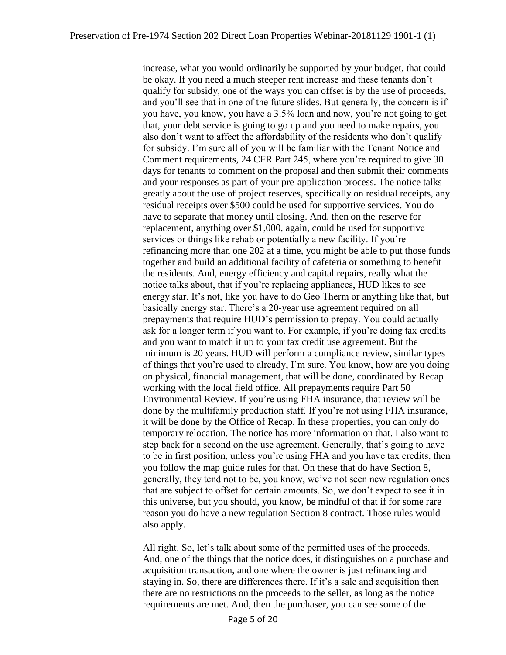increase, what you would ordinarily be supported by your budget, that could be okay. If you need a much steeper rent increase and these tenants don't qualify for subsidy, one of the ways you can offset is by the use of proceeds, and you'll see that in one of the future slides. But generally, the concern is if you have, you know, you have a 3.5% loan and now, you're not going to get that, your debt service is going to go up and you need to make repairs, you also don't want to affect the affordability of the residents who don't qualify for subsidy. I'm sure all of you will be familiar with the Tenant Notice and Comment requirements, 24 CFR Part 245, where you're required to give 30 days for tenants to comment on the proposal and then submit their comments and your responses as part of your pre-application process. The notice talks greatly about the use of project reserves, specifically on residual receipts, any residual receipts over \$500 could be used for supportive services. You do have to separate that money until closing. And, then on the reserve for replacement, anything over \$1,000, again, could be used for supportive services or things like rehab or potentially a new facility. If you're refinancing more than one 202 at a time, you might be able to put those funds together and build an additional facility of cafeteria or something to benefit the residents. And, energy efficiency and capital repairs, really what the notice talks about, that if you're replacing appliances, HUD likes to see energy star. It's not, like you have to do Geo Therm or anything like that, but basically energy star. There's a 20-year use agreement required on all prepayments that require HUD's permission to prepay. You could actually ask for a longer term if you want to. For example, if you're doing tax credits and you want to match it up to your tax credit use agreement. But the minimum is 20 years. HUD will perform a compliance review, similar types of things that you're used to already, I'm sure. You know, how are you doing on physical, financial management, that will be done, coordinated by Recap working with the local field office. All prepayments require Part 50 Environmental Review. If you're using FHA insurance, that review will be done by the multifamily production staff. If you're not using FHA insurance, it will be done by the Office of Recap. In these properties, you can only do temporary relocation. The notice has more information on that. I also want to step back for a second on the use agreement. Generally, that's going to have to be in first position, unless you're using FHA and you have tax credits, then you follow the map guide rules for that. On these that do have Section 8, generally, they tend not to be, you know, we've not seen new regulation ones that are subject to offset for certain amounts. So, we don't expect to see it in this universe, but you should, you know, be mindful of that if for some rare reason you do have a new regulation Section 8 contract. Those rules would also apply.

All right. So, let's talk about some of the permitted uses of the proceeds. And, one of the things that the notice does, it distinguishes on a purchase and acquisition transaction, and one where the owner is just refinancing and staying in. So, there are differences there. If it's a sale and acquisition then there are no restrictions on the proceeds to the seller, as long as the notice requirements are met. And, then the purchaser, you can see some of the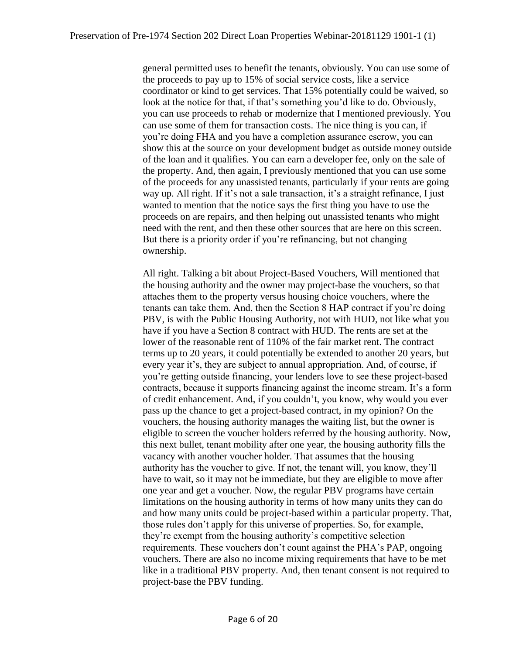general permitted uses to benefit the tenants, obviously. You can use some of the proceeds to pay up to 15% of social service costs, like a service coordinator or kind to get services. That 15% potentially could be waived, so look at the notice for that, if that's something you'd like to do. Obviously, you can use proceeds to rehab or modernize that I mentioned previously. You can use some of them for transaction costs. The nice thing is you can, if you're doing FHA and you have a completion assurance escrow, you can show this at the source on your development budget as outside money outside of the loan and it qualifies. You can earn a developer fee, only on the sale of the property. And, then again, I previously mentioned that you can use some of the proceeds for any unassisted tenants, particularly if your rents are going way up. All right. If it's not a sale transaction, it's a straight refinance, I just wanted to mention that the notice says the first thing you have to use the proceeds on are repairs, and then helping out unassisted tenants who might need with the rent, and then these other sources that are here on this screen. But there is a priority order if you're refinancing, but not changing ownership.

All right. Talking a bit about Project-Based Vouchers, Will mentioned that the housing authority and the owner may project-base the vouchers, so that attaches them to the property versus housing choice vouchers, where the tenants can take them. And, then the Section 8 HAP contract if you're doing PBV, is with the Public Housing Authority, not with HUD, not like what you have if you have a Section 8 contract with HUD. The rents are set at the lower of the reasonable rent of 110% of the fair market rent. The contract terms up to 20 years, it could potentially be extended to another 20 years, but every year it's, they are subject to annual appropriation. And, of course, if you're getting outside financing, your lenders love to see these project-based contracts, because it supports financing against the income stream. It's a form of credit enhancement. And, if you couldn't, you know, why would you ever pass up the chance to get a project-based contract, in my opinion? On the vouchers, the housing authority manages the waiting list, but the owner is eligible to screen the voucher holders referred by the housing authority. Now, this next bullet, tenant mobility after one year, the housing authority fills the vacancy with another voucher holder. That assumes that the housing authority has the voucher to give. If not, the tenant will, you know, they'll have to wait, so it may not be immediate, but they are eligible to move after one year and get a voucher. Now, the regular PBV programs have certain limitations on the housing authority in terms of how many units they can do and how many units could be project-based within a particular property. That, those rules don't apply for this universe of properties. So, for example, they're exempt from the housing authority's competitive selection requirements. These vouchers don't count against the PHA's PAP, ongoing vouchers. There are also no income mixing requirements that have to be met like in a traditional PBV property. And, then tenant consent is not required to project-base the PBV funding.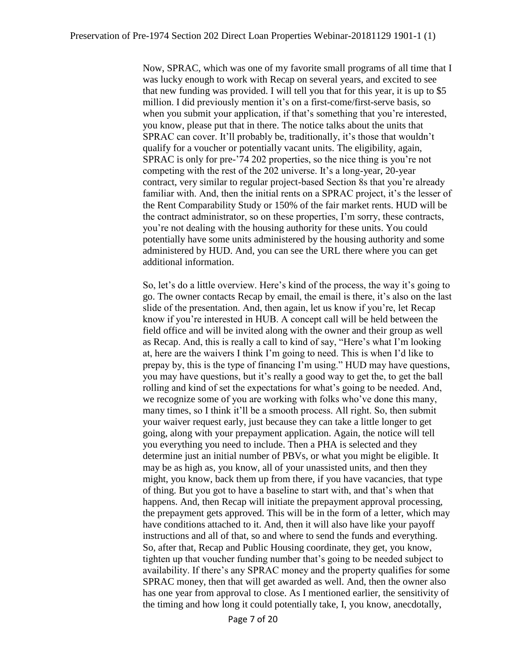Now, SPRAC, which was one of my favorite small programs of all time that I was lucky enough to work with Recap on several years, and excited to see that new funding was provided. I will tell you that for this year, it is up to \$5 million. I did previously mention it's on a first-come/first-serve basis, so when you submit your application, if that's something that you're interested, you know, please put that in there. The notice talks about the units that SPRAC can cover. It'll probably be, traditionally, it's those that wouldn't qualify for a voucher or potentially vacant units. The eligibility, again, SPRAC is only for pre-'74 202 properties, so the nice thing is you're not competing with the rest of the 202 universe. It's a long-year, 20-year contract, very similar to regular project-based Section 8s that you're already familiar with. And, then the initial rents on a SPRAC project, it's the lesser of the Rent Comparability Study or 150% of the fair market rents. HUD will be the contract administrator, so on these properties, I'm sorry, these contracts, you're not dealing with the housing authority for these units. You could potentially have some units administered by the housing authority and some administered by HUD. And, you can see the URL there where you can get additional information.

So, let's do a little overview. Here's kind of the process, the way it's going to go. The owner contacts Recap by email, the email is there, it's also on the last slide of the presentation. And, then again, let us know if you're, let Recap know if you're interested in HUB. A concept call will be held between the field office and will be invited along with the owner and their group as well as Recap. And, this is really a call to kind of say, "Here's what I'm looking at, here are the waivers I think I'm going to need. This is when I'd like to prepay by, this is the type of financing I'm using." HUD may have questions, you may have questions, but it's really a good way to get the, to get the ball rolling and kind of set the expectations for what's going to be needed. And, we recognize some of you are working with folks who've done this many, many times, so I think it'll be a smooth process. All right. So, then submit your waiver request early, just because they can take a little longer to get going, along with your prepayment application. Again, the notice will tell you everything you need to include. Then a PHA is selected and they determine just an initial number of PBVs, or what you might be eligible. It may be as high as, you know, all of your unassisted units, and then they might, you know, back them up from there, if you have vacancies, that type of thing. But you got to have a baseline to start with, and that's when that happens. And, then Recap will initiate the prepayment approval processing, the prepayment gets approved. This will be in the form of a letter, which may have conditions attached to it. And, then it will also have like your payoff instructions and all of that, so and where to send the funds and everything. So, after that, Recap and Public Housing coordinate, they get, you know, tighten up that voucher funding number that's going to be needed subject to availability. If there's any SPRAC money and the property qualifies for some SPRAC money, then that will get awarded as well. And, then the owner also has one year from approval to close. As I mentioned earlier, the sensitivity of the timing and how long it could potentially take, I, you know, anecdotally,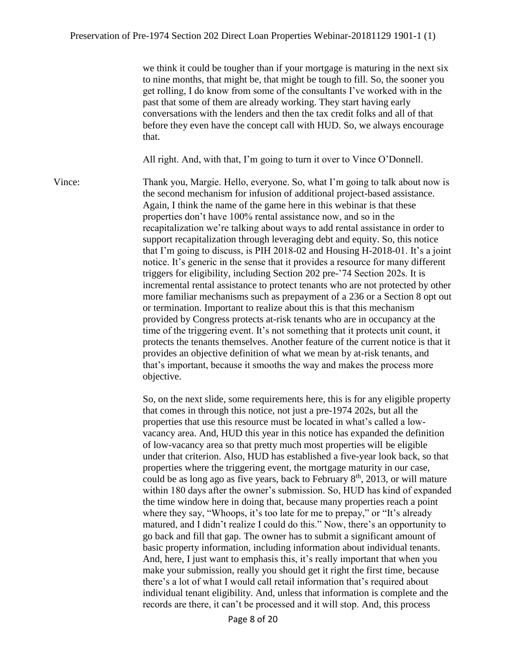we think it could be tougher than if your mortgage is maturing in the next six to nine months, that might be, that might be tough to fill. So, the sooner you get rolling, I do know from some of the consultants I've worked with in the past that some of them are already working. They start having early conversations with the lenders and then the tax credit folks and all of that before they even have the concept call with HUD. So, we always encourage that.

All right. And, with that, I'm going to turn it over to Vince O'Donnell.

Vince: Thank you, Margie. Hello, everyone. So, what I'm going to talk about now is the second mechanism for infusion of additional project-based assistance. Again, I think the name of the game here in this webinar is that these properties don't have 100% rental assistance now, and so in the recapitalization we're talking about ways to add rental assistance in order to support recapitalization through leveraging debt and equity. So, this notice that I'm going to discuss, is PIH 2018-02 and Housing H-2018-01. It's a joint notice. It's generic in the sense that it provides a resource for many different triggers for eligibility, including Section 202 pre-'74 Section 202s. It is incremental rental assistance to protect tenants who are not protected by other more familiar mechanisms such as prepayment of a 236 or a Section 8 opt out or termination. Important to realize about this is that this mechanism provided by Congress protects at-risk tenants who are in occupancy at the time of the triggering event. It's not something that it protects unit count, it protects the tenants themselves. Another feature of the current notice is that it provides an objective definition of what we mean by at-risk tenants, and that's important, because it smooths the way and makes the process more objective.

> So, on the next slide, some requirements here, this is for any eligible property that comes in through this notice, not just a pre-1974 202s, but all the properties that use this resource must be located in what's called a lowvacancy area. And, HUD this year in this notice has expanded the definition of low-vacancy area so that pretty much most properties will be eligible under that criterion. Also, HUD has established a five-year look back, so that properties where the triggering event, the mortgage maturity in our case, could be as long ago as five years, back to February  $8<sup>th</sup>$ , 2013, or will mature within 180 days after the owner's submission. So, HUD has kind of expanded the time window here in doing that, because many properties reach a point where they say, "Whoops, it's too late for me to prepay," or "It's already matured, and I didn't realize I could do this." Now, there's an opportunity to go back and fill that gap. The owner has to submit a significant amount of basic property information, including information about individual tenants. And, here, I just want to emphasis this, it's really important that when you make your submission, really you should get it right the first time, because there's a lot of what I would call retail information that's required about individual tenant eligibility. And, unless that information is complete and the records are there, it can't be processed and it will stop. And, this process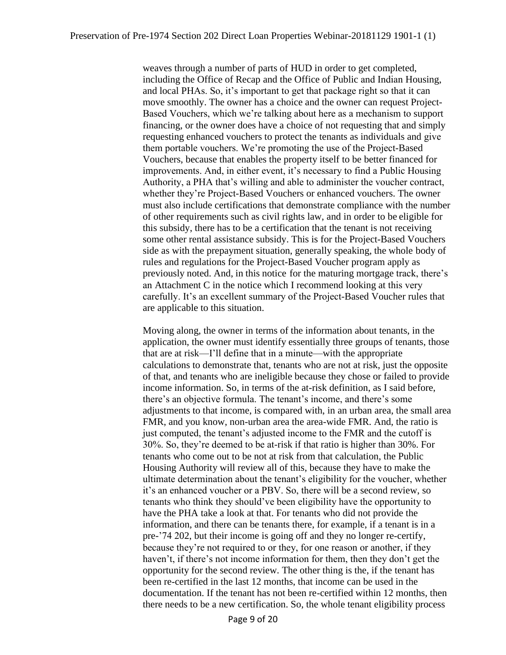weaves through a number of parts of HUD in order to get completed, including the Office of Recap and the Office of Public and Indian Housing, and local PHAs. So, it's important to get that package right so that it can move smoothly. The owner has a choice and the owner can request Project-Based Vouchers, which we're talking about here as a mechanism to support financing, or the owner does have a choice of not requesting that and simply requesting enhanced vouchers to protect the tenants as individuals and give them portable vouchers. We're promoting the use of the Project-Based Vouchers, because that enables the property itself to be better financed for improvements. And, in either event, it's necessary to find a Public Housing Authority, a PHA that's willing and able to administer the voucher contract, whether they're Project-Based Vouchers or enhanced vouchers. The owner must also include certifications that demonstrate compliance with the number of other requirements such as civil rights law, and in order to be eligible for this subsidy, there has to be a certification that the tenant is not receiving some other rental assistance subsidy. This is for the Project-Based Vouchers side as with the prepayment situation, generally speaking, the whole body of rules and regulations for the Project-Based Voucher program apply as previously noted. And, in this notice for the maturing mortgage track, there's an Attachment C in the notice which I recommend looking at this very carefully. It's an excellent summary of the Project-Based Voucher rules that are applicable to this situation.

Moving along, the owner in terms of the information about tenants, in the application, the owner must identify essentially three groups of tenants, those that are at risk—I'll define that in a minute—with the appropriate calculations to demonstrate that, tenants who are not at risk, just the opposite of that, and tenants who are ineligible because they chose or failed to provide income information. So, in terms of the at-risk definition, as I said before, there's an objective formula. The tenant's income, and there's some adjustments to that income, is compared with, in an urban area, the small area FMR, and you know, non-urban area the area-wide FMR. And, the ratio is just computed, the tenant's adjusted income to the FMR and the cutoff is 30%. So, they're deemed to be at-risk if that ratio is higher than 30%. For tenants who come out to be not at risk from that calculation, the Public Housing Authority will review all of this, because they have to make the ultimate determination about the tenant's eligibility for the voucher, whether it's an enhanced voucher or a PBV. So, there will be a second review, so tenants who think they should've been eligibility have the opportunity to have the PHA take a look at that. For tenants who did not provide the information, and there can be tenants there, for example, if a tenant is in a pre-'74 202, but their income is going off and they no longer re-certify, because they're not required to or they, for one reason or another, if they haven't, if there's not income information for them, then they don't get the opportunity for the second review. The other thing is the, if the tenant has been re-certified in the last 12 months, that income can be used in the documentation. If the tenant has not been re-certified within 12 months, then there needs to be a new certification. So, the whole tenant eligibility process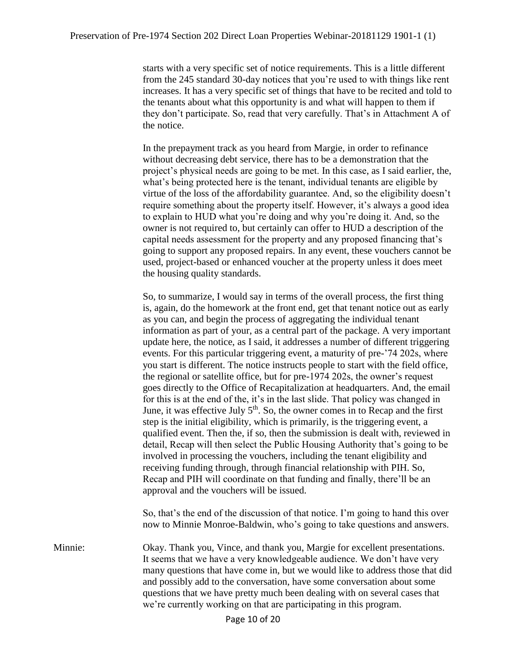starts with a very specific set of notice requirements. This is a little different from the 245 standard 30-day notices that you're used to with things like rent increases. It has a very specific set of things that have to be recited and told to the tenants about what this opportunity is and what will happen to them if they don't participate. So, read that very carefully. That's in Attachment A of the notice.

In the prepayment track as you heard from Margie, in order to refinance without decreasing debt service, there has to be a demonstration that the project's physical needs are going to be met. In this case, as I said earlier, the, what's being protected here is the tenant, individual tenants are eligible by virtue of the loss of the affordability guarantee. And, so the eligibility doesn't require something about the property itself. However, it's always a good idea to explain to HUD what you're doing and why you're doing it. And, so the owner is not required to, but certainly can offer to HUD a description of the capital needs assessment for the property and any proposed financing that's going to support any proposed repairs. In any event, these vouchers cannot be used, project-based or enhanced voucher at the property unless it does meet the housing quality standards.

So, to summarize, I would say in terms of the overall process, the first thing is, again, do the homework at the front end, get that tenant notice out as early as you can, and begin the process of aggregating the individual tenant information as part of your, as a central part of the package. A very important update here, the notice, as I said, it addresses a number of different triggering events. For this particular triggering event, a maturity of pre-'74 202s, where you start is different. The notice instructs people to start with the field office, the regional or satellite office, but for pre-1974 202s, the owner's request goes directly to the Office of Recapitalization at headquarters. And, the email for this is at the end of the, it's in the last slide. That policy was changed in June, it was effective July  $5<sup>th</sup>$ . So, the owner comes in to Recap and the first step is the initial eligibility, which is primarily, is the triggering event, a qualified event. Then the, if so, then the submission is dealt with, reviewed in detail, Recap will then select the Public Housing Authority that's going to be involved in processing the vouchers, including the tenant eligibility and receiving funding through, through financial relationship with PIH. So, Recap and PIH will coordinate on that funding and finally, there'll be an approval and the vouchers will be issued.

So, that's the end of the discussion of that notice. I'm going to hand this over now to Minnie Monroe-Baldwin, who's going to take questions and answers.

Minnie: Okay. Thank you, Vince, and thank you, Margie for excellent presentations. It seems that we have a very knowledgeable audience. We don't have very many questions that have come in, but we would like to address those that did and possibly add to the conversation, have some conversation about some questions that we have pretty much been dealing with on several cases that we're currently working on that are participating in this program.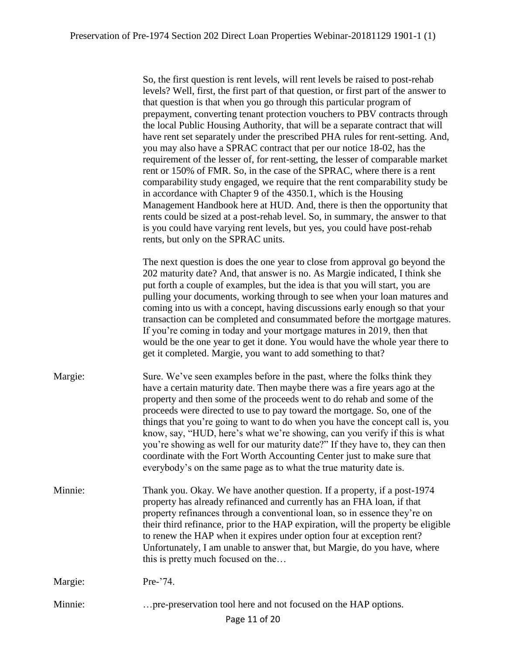So, the first question is rent levels, will rent levels be raised to post-rehab levels? Well, first, the first part of that question, or first part of the answer to that question is that when you go through this particular program of prepayment, converting tenant protection vouchers to PBV contracts through the local Public Housing Authority, that will be a separate contract that will have rent set separately under the prescribed PHA rules for rent-setting. And, you may also have a SPRAC contract that per our notice 18-02, has the requirement of the lesser of, for rent-setting, the lesser of comparable market rent or 150% of FMR. So, in the case of the SPRAC, where there is a rent comparability study engaged, we require that the rent comparability study be in accordance with Chapter 9 of the 4350.1, which is the Housing Management Handbook here at HUD. And, there is then the opportunity that rents could be sized at a post-rehab level. So, in summary, the answer to that is you could have varying rent levels, but yes, you could have post-rehab rents, but only on the SPRAC units.

The next question is does the one year to close from approval go beyond the 202 maturity date? And, that answer is no. As Margie indicated, I think she put forth a couple of examples, but the idea is that you will start, you are pulling your documents, working through to see when your loan matures and coming into us with a concept, having discussions early enough so that your transaction can be completed and consummated before the mortgage matures. If you're coming in today and your mortgage matures in 2019, then that would be the one year to get it done. You would have the whole year there to get it completed. Margie, you want to add something to that?

| Margie: | Sure. We've seen examples before in the past, where the folks think they<br>have a certain maturity date. Then maybe there was a fire years ago at the<br>property and then some of the proceeds went to do rehab and some of the<br>proceeds were directed to use to pay toward the mortgage. So, one of the<br>things that you're going to want to do when you have the concept call is, you<br>know, say, "HUD, here's what we're showing, can you verify if this is what<br>you're showing as well for our maturity date?" If they have to, they can then<br>coordinate with the Fort Worth Accounting Center just to make sure that<br>everybody's on the same page as to what the true maturity date is. |
|---------|----------------------------------------------------------------------------------------------------------------------------------------------------------------------------------------------------------------------------------------------------------------------------------------------------------------------------------------------------------------------------------------------------------------------------------------------------------------------------------------------------------------------------------------------------------------------------------------------------------------------------------------------------------------------------------------------------------------|
| Minnie: | Thank you. Okay. We have another question. If a property, if a post-1974<br>property has already refinanced and currently has an FHA loan, if that<br>property refinances through a conventional loan, so in essence they're on<br>their third refinance, prior to the HAP expiration, will the property be eligible<br>to renew the HAP when it expires under option four at exception rent?<br>Unfortunately, I am unable to answer that, but Margie, do you have, where                                                                                                                                                                                                                                     |

Margie: Pre-'74.

Minnie: …pre-preservation tool here and not focused on the HAP options.

this is pretty much focused on the…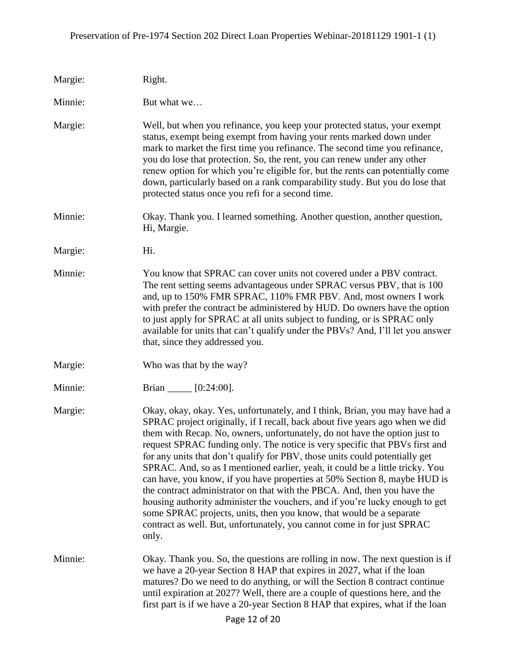| Margie: | Right.                                                                                                                                                                                                                                                                                                                                                                                                                                                                                                                                                                                                                                                                                                                                                                                                                                                                                        |
|---------|-----------------------------------------------------------------------------------------------------------------------------------------------------------------------------------------------------------------------------------------------------------------------------------------------------------------------------------------------------------------------------------------------------------------------------------------------------------------------------------------------------------------------------------------------------------------------------------------------------------------------------------------------------------------------------------------------------------------------------------------------------------------------------------------------------------------------------------------------------------------------------------------------|
| Minnie: | But what we                                                                                                                                                                                                                                                                                                                                                                                                                                                                                                                                                                                                                                                                                                                                                                                                                                                                                   |
| Margie: | Well, but when you refinance, you keep your protected status, your exempt<br>status, exempt being exempt from having your rents marked down under<br>mark to market the first time you refinance. The second time you refinance,<br>you do lose that protection. So, the rent, you can renew under any other<br>renew option for which you're eligible for, but the rents can potentially come<br>down, particularly based on a rank comparability study. But you do lose that<br>protected status once you refi for a second time.                                                                                                                                                                                                                                                                                                                                                           |
| Minnie: | Okay. Thank you. I learned something. Another question, another question,<br>Hi, Margie.                                                                                                                                                                                                                                                                                                                                                                                                                                                                                                                                                                                                                                                                                                                                                                                                      |
| Margie: | Hi.                                                                                                                                                                                                                                                                                                                                                                                                                                                                                                                                                                                                                                                                                                                                                                                                                                                                                           |
| Minnie: | You know that SPRAC can cover units not covered under a PBV contract.<br>The rent setting seems advantageous under SPRAC versus PBV, that is 100<br>and, up to 150% FMR SPRAC, 110% FMR PBV. And, most owners I work<br>with prefer the contract be administered by HUD. Do owners have the option<br>to just apply for SPRAC at all units subject to funding, or is SPRAC only<br>available for units that can't qualify under the PBVs? And, I'll let you answer<br>that, since they addressed you.                                                                                                                                                                                                                                                                                                                                                                                         |
| Margie: | Who was that by the way?                                                                                                                                                                                                                                                                                                                                                                                                                                                                                                                                                                                                                                                                                                                                                                                                                                                                      |
| Minnie: | Brian ______ [0:24:00].                                                                                                                                                                                                                                                                                                                                                                                                                                                                                                                                                                                                                                                                                                                                                                                                                                                                       |
| Margie: | Okay, okay, okay. Yes, unfortunately, and I think, Brian, you may have had a<br>SPRAC project originally, if I recall, back about five years ago when we did<br>them with Recap. No, owners, unfortunately, do not have the option just to<br>request SPRAC funding only. The notice is very specific that PBVs first and<br>for any units that don't qualify for PBV, those units could potentially get<br>SPRAC. And, so as I mentioned earlier, yeah, it could be a little tricky. You<br>can have, you know, if you have properties at 50% Section 8, maybe HUD is<br>the contract administrator on that with the PBCA. And, then you have the<br>housing authority administer the vouchers, and if you're lucky enough to get<br>some SPRAC projects, units, then you know, that would be a separate<br>contract as well. But, unfortunately, you cannot come in for just SPRAC<br>only. |
| Minnie: | Okay. Thank you. So, the questions are rolling in now. The next question is if<br>we have a 20-year Section 8 HAP that expires in 2027, what if the loan<br>matures? Do we need to do anything, or will the Section 8 contract continue<br>until expiration at 2027? Well, there are a couple of questions here, and the<br>first part is if we have a 20-year Section 8 HAP that expires, what if the loan                                                                                                                                                                                                                                                                                                                                                                                                                                                                                   |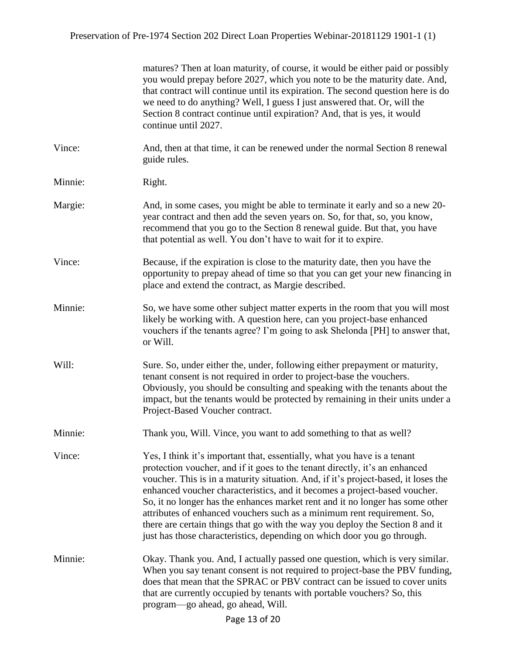|         | matures? Then at loan maturity, of course, it would be either paid or possibly<br>you would prepay before 2027, which you note to be the maturity date. And,<br>that contract will continue until its expiration. The second question here is do<br>we need to do anything? Well, I guess I just answered that. Or, will the<br>Section 8 contract continue until expiration? And, that is yes, it would<br>continue until 2027.                                                                                                                                                                                                                   |
|---------|----------------------------------------------------------------------------------------------------------------------------------------------------------------------------------------------------------------------------------------------------------------------------------------------------------------------------------------------------------------------------------------------------------------------------------------------------------------------------------------------------------------------------------------------------------------------------------------------------------------------------------------------------|
| Vince:  | And, then at that time, it can be renewed under the normal Section 8 renewal<br>guide rules.                                                                                                                                                                                                                                                                                                                                                                                                                                                                                                                                                       |
| Minnie: | Right.                                                                                                                                                                                                                                                                                                                                                                                                                                                                                                                                                                                                                                             |
| Margie: | And, in some cases, you might be able to terminate it early and so a new 20-<br>year contract and then add the seven years on. So, for that, so, you know,<br>recommend that you go to the Section 8 renewal guide. But that, you have<br>that potential as well. You don't have to wait for it to expire.                                                                                                                                                                                                                                                                                                                                         |
| Vince:  | Because, if the expiration is close to the maturity date, then you have the<br>opportunity to prepay ahead of time so that you can get your new financing in<br>place and extend the contract, as Margie described.                                                                                                                                                                                                                                                                                                                                                                                                                                |
| Minnie: | So, we have some other subject matter experts in the room that you will most<br>likely be working with. A question here, can you project-base enhanced<br>vouchers if the tenants agree? I'm going to ask Shelonda [PH] to answer that,<br>or Will.                                                                                                                                                                                                                                                                                                                                                                                                |
| Will:   | Sure. So, under either the, under, following either prepayment or maturity,<br>tenant consent is not required in order to project-base the vouchers.<br>Obviously, you should be consulting and speaking with the tenants about the<br>impact, but the tenants would be protected by remaining in their units under a<br>Project-Based Voucher contract.                                                                                                                                                                                                                                                                                           |
| Minnie: | Thank you, Will. Vince, you want to add something to that as well?                                                                                                                                                                                                                                                                                                                                                                                                                                                                                                                                                                                 |
| Vince:  | Yes, I think it's important that, essentially, what you have is a tenant<br>protection voucher, and if it goes to the tenant directly, it's an enhanced<br>voucher. This is in a maturity situation. And, if it's project-based, it loses the<br>enhanced voucher characteristics, and it becomes a project-based voucher.<br>So, it no longer has the enhances market rent and it no longer has some other<br>attributes of enhanced vouchers such as a minimum rent requirement. So,<br>there are certain things that go with the way you deploy the Section 8 and it<br>just has those characteristics, depending on which door you go through. |
| Minnie: | Okay. Thank you. And, I actually passed one question, which is very similar.<br>When you say tenant consent is not required to project-base the PBV funding,<br>does that mean that the SPRAC or PBV contract can be issued to cover units<br>that are currently occupied by tenants with portable vouchers? So, this<br>program—go ahead, go ahead, Will.                                                                                                                                                                                                                                                                                         |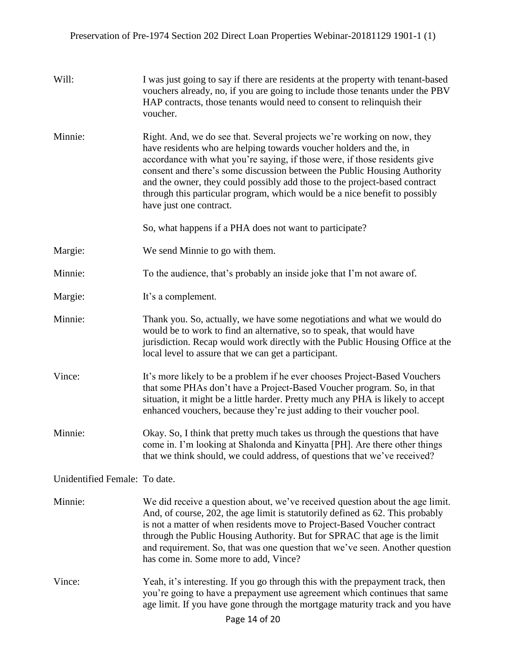| Will:                         | I was just going to say if there are residents at the property with tenant-based<br>vouchers already, no, if you are going to include those tenants under the PBV<br>HAP contracts, those tenants would need to consent to relinquish their<br>voucher.                                                                                                                                                                                                                                        |
|-------------------------------|------------------------------------------------------------------------------------------------------------------------------------------------------------------------------------------------------------------------------------------------------------------------------------------------------------------------------------------------------------------------------------------------------------------------------------------------------------------------------------------------|
| Minnie:                       | Right. And, we do see that. Several projects we're working on now, they<br>have residents who are helping towards voucher holders and the, in<br>accordance with what you're saying, if those were, if those residents give<br>consent and there's some discussion between the Public Housing Authority<br>and the owner, they could possibly add those to the project-based contract<br>through this particular program, which would be a nice benefit to possibly<br>have just one contract. |
|                               | So, what happens if a PHA does not want to participate?                                                                                                                                                                                                                                                                                                                                                                                                                                        |
| Margie:                       | We send Minnie to go with them.                                                                                                                                                                                                                                                                                                                                                                                                                                                                |
| Minnie:                       | To the audience, that's probably an inside joke that I'm not aware of.                                                                                                                                                                                                                                                                                                                                                                                                                         |
| Margie:                       | It's a complement.                                                                                                                                                                                                                                                                                                                                                                                                                                                                             |
| Minnie:                       | Thank you. So, actually, we have some negotiations and what we would do<br>would be to work to find an alternative, so to speak, that would have<br>jurisdiction. Recap would work directly with the Public Housing Office at the<br>local level to assure that we can get a participant.                                                                                                                                                                                                      |
| Vince:                        | It's more likely to be a problem if he ever chooses Project-Based Vouchers<br>that some PHAs don't have a Project-Based Voucher program. So, in that<br>situation, it might be a little harder. Pretty much any PHA is likely to accept<br>enhanced vouchers, because they're just adding to their voucher pool.                                                                                                                                                                               |
| Minnie:                       | Okay. So, I think that pretty much takes us through the questions that have<br>come in. I'm looking at Shalonda and Kinyatta [PH]. Are there other things<br>that we think should, we could address, of questions that we've received?                                                                                                                                                                                                                                                         |
| Unidentified Female: To date. |                                                                                                                                                                                                                                                                                                                                                                                                                                                                                                |
| Minnie:                       | We did receive a question about, we've received question about the age limit.<br>And, of course, 202, the age limit is statutorily defined as 62. This probably<br>is not a matter of when residents move to Project-Based Voucher contract<br>through the Public Housing Authority. But for SPRAC that age is the limit<br>and requirement. So, that was one question that we've seen. Another question<br>has come in. Some more to add, Vince?                                              |
| Vince:                        | Yeah, it's interesting. If you go through this with the prepayment track, then<br>you're going to have a prepayment use agreement which continues that same<br>age limit. If you have gone through the mortgage maturity track and you have                                                                                                                                                                                                                                                    |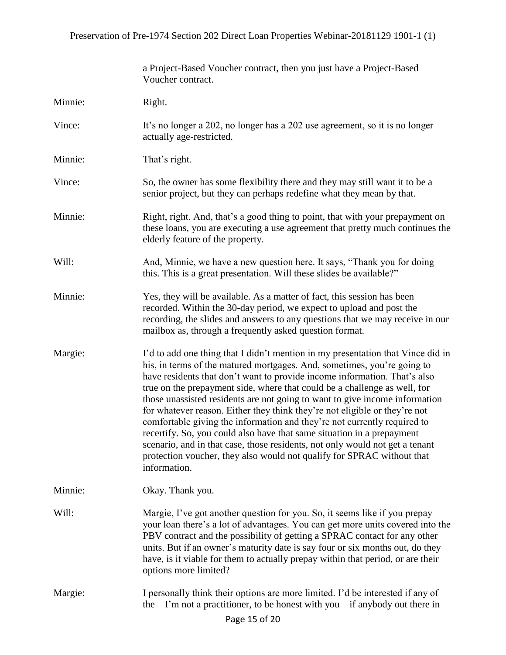|         | a Project-Based Voucher contract, then you just have a Project-Based<br>Voucher contract.                                                                                                                                                                                                                                                                                                                                                                                                                                                                                                                                                                                                                                                                                                                         |
|---------|-------------------------------------------------------------------------------------------------------------------------------------------------------------------------------------------------------------------------------------------------------------------------------------------------------------------------------------------------------------------------------------------------------------------------------------------------------------------------------------------------------------------------------------------------------------------------------------------------------------------------------------------------------------------------------------------------------------------------------------------------------------------------------------------------------------------|
| Minnie: | Right.                                                                                                                                                                                                                                                                                                                                                                                                                                                                                                                                                                                                                                                                                                                                                                                                            |
| Vince:  | It's no longer a 202, no longer has a 202 use agreement, so it is no longer<br>actually age-restricted.                                                                                                                                                                                                                                                                                                                                                                                                                                                                                                                                                                                                                                                                                                           |
| Minnie: | That's right.                                                                                                                                                                                                                                                                                                                                                                                                                                                                                                                                                                                                                                                                                                                                                                                                     |
| Vince:  | So, the owner has some flexibility there and they may still want it to be a<br>senior project, but they can perhaps redefine what they mean by that.                                                                                                                                                                                                                                                                                                                                                                                                                                                                                                                                                                                                                                                              |
| Minnie: | Right, right. And, that's a good thing to point, that with your prepayment on<br>these loans, you are executing a use agreement that pretty much continues the<br>elderly feature of the property.                                                                                                                                                                                                                                                                                                                                                                                                                                                                                                                                                                                                                |
| Will:   | And, Minnie, we have a new question here. It says, "Thank you for doing<br>this. This is a great presentation. Will these slides be available?"                                                                                                                                                                                                                                                                                                                                                                                                                                                                                                                                                                                                                                                                   |
| Minnie: | Yes, they will be available. As a matter of fact, this session has been<br>recorded. Within the 30-day period, we expect to upload and post the<br>recording, the slides and answers to any questions that we may receive in our<br>mailbox as, through a frequently asked question format.                                                                                                                                                                                                                                                                                                                                                                                                                                                                                                                       |
| Margie: | I'd to add one thing that I didn't mention in my presentation that Vince did in<br>his, in terms of the matured mortgages. And, sometimes, you're going to<br>have residents that don't want to provide income information. That's also<br>true on the prepayment side, where that could be a challenge as well, for<br>those unassisted residents are not going to want to give income information<br>for whatever reason. Either they think they're not eligible or they're not<br>comfortable giving the information and they're not currently required to<br>recertify. So, you could also have that same situation in a prepayment<br>scenario, and in that case, those residents, not only would not get a tenant<br>protection voucher, they also would not qualify for SPRAC without that<br>information. |
| Minnie: | Okay. Thank you.                                                                                                                                                                                                                                                                                                                                                                                                                                                                                                                                                                                                                                                                                                                                                                                                  |
| Will:   | Margie, I've got another question for you. So, it seems like if you prepay<br>your loan there's a lot of advantages. You can get more units covered into the<br>PBV contract and the possibility of getting a SPRAC contact for any other<br>units. But if an owner's maturity date is say four or six months out, do they<br>have, is it viable for them to actually prepay within that period, or are their<br>options more limited?                                                                                                                                                                                                                                                                                                                                                                            |
| Margie: | I personally think their options are more limited. I'd be interested if any of<br>the—I'm not a practitioner, to be honest with you—if anybody out there in<br>Page 15 of 20                                                                                                                                                                                                                                                                                                                                                                                                                                                                                                                                                                                                                                      |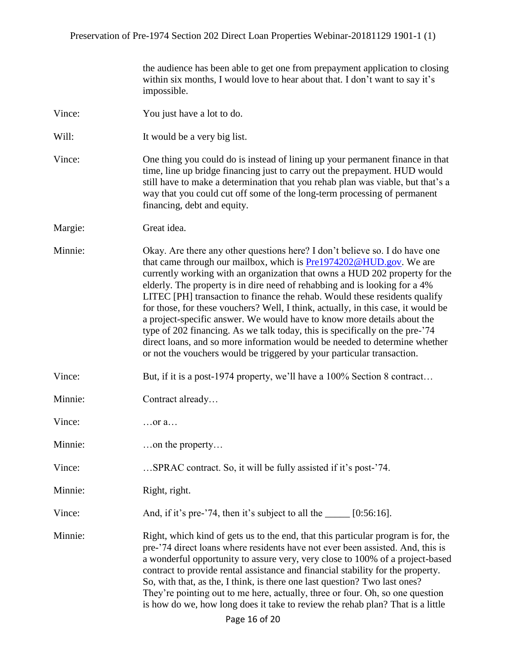the audience has been able to get one from prepayment application to closing within six months, I would love to hear about that. I don't want to say it's impossible.

| Vince:  | You just have a lot to do.                                                                                                                                                                                                                                                                                                                                                                                                                                                                                                                                                                                                                                                                                                                                                                                   |
|---------|--------------------------------------------------------------------------------------------------------------------------------------------------------------------------------------------------------------------------------------------------------------------------------------------------------------------------------------------------------------------------------------------------------------------------------------------------------------------------------------------------------------------------------------------------------------------------------------------------------------------------------------------------------------------------------------------------------------------------------------------------------------------------------------------------------------|
| Will:   | It would be a very big list.                                                                                                                                                                                                                                                                                                                                                                                                                                                                                                                                                                                                                                                                                                                                                                                 |
| Vince:  | One thing you could do is instead of lining up your permanent finance in that<br>time, line up bridge financing just to carry out the prepayment. HUD would<br>still have to make a determination that you rehab plan was viable, but that's a<br>way that you could cut off some of the long-term processing of permanent<br>financing, debt and equity.                                                                                                                                                                                                                                                                                                                                                                                                                                                    |
| Margie: | Great idea.                                                                                                                                                                                                                                                                                                                                                                                                                                                                                                                                                                                                                                                                                                                                                                                                  |
| Minnie: | Okay. Are there any other questions here? I don't believe so. I do have one<br>that came through our mailbox, which is <b>Pre1974202@HUD.gov</b> . We are<br>currently working with an organization that owns a HUD 202 property for the<br>elderly. The property is in dire need of rehabbing and is looking for a 4%<br>LITEC [PH] transaction to finance the rehab. Would these residents qualify<br>for those, for these vouchers? Well, I think, actually, in this case, it would be<br>a project-specific answer. We would have to know more details about the<br>type of 202 financing. As we talk today, this is specifically on the pre-'74<br>direct loans, and so more information would be needed to determine whether<br>or not the vouchers would be triggered by your particular transaction. |
| Vince:  | But, if it is a post-1974 property, we'll have a 100% Section 8 contract                                                                                                                                                                                                                                                                                                                                                                                                                                                                                                                                                                                                                                                                                                                                     |
| Minnie: | Contract already                                                                                                                                                                                                                                                                                                                                                                                                                                                                                                                                                                                                                                                                                                                                                                                             |
| Vince:  | $\ldots$ or a $\ldots$                                                                                                                                                                                                                                                                                                                                                                                                                                                                                                                                                                                                                                                                                                                                                                                       |
| Minnie: | on the property                                                                                                                                                                                                                                                                                                                                                                                                                                                                                                                                                                                                                                                                                                                                                                                              |
| Vince:  | SPRAC contract. So, it will be fully assisted if it's post-'74.                                                                                                                                                                                                                                                                                                                                                                                                                                                                                                                                                                                                                                                                                                                                              |
| Minnie: | Right, right.                                                                                                                                                                                                                                                                                                                                                                                                                                                                                                                                                                                                                                                                                                                                                                                                |
| Vince:  | And, if it's pre-'74, then it's subject to all the _____ [0:56:16].                                                                                                                                                                                                                                                                                                                                                                                                                                                                                                                                                                                                                                                                                                                                          |
| Minnie: | Right, which kind of gets us to the end, that this particular program is for, the<br>pre-'74 direct loans where residents have not ever been assisted. And, this is<br>a wonderful opportunity to assure very, very close to 100% of a project-based<br>contract to provide rental assistance and financial stability for the property.<br>So, with that, as the, I think, is there one last question? Two last ones?<br>They're pointing out to me here, actually, three or four. Oh, so one question<br>is how do we, how long does it take to review the rehab plan? That is a little                                                                                                                                                                                                                     |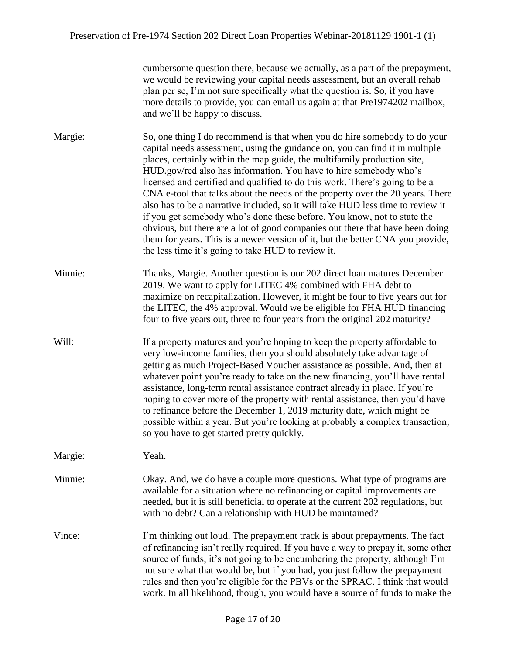| cumbersome question there, because we actually, as a part of the prepayment, |
|------------------------------------------------------------------------------|
| we would be reviewing your capital needs assessment, but an overall rehab    |
| plan per se, I'm not sure specifically what the question is. So, if you have |
| more details to provide, you can email us again at that Pre1974202 mailbox,  |
| and we'll be happy to discuss.                                               |

Margie: So, one thing I do recommend is that when you do hire somebody to do your capital needs assessment, using the guidance on, you can find it in multiple places, certainly within the map guide, the multifamily production site, HUD.gov/red also has information. You have to hire somebody who's licensed and certified and qualified to do this work. There's going to be a CNA e-tool that talks about the needs of the property over the 20 years. There also has to be a narrative included, so it will take HUD less time to review it if you get somebody who's done these before. You know, not to state the obvious, but there are a lot of good companies out there that have been doing them for years. This is a newer version of it, but the better CNA you provide, the less time it's going to take HUD to review it.

Minnie: Thanks, Margie. Another question is our 202 direct loan matures December 2019. We want to apply for LITEC 4% combined with FHA debt to maximize on recapitalization. However, it might be four to five years out for the LITEC, the 4% approval. Would we be eligible for FHA HUD financing four to five years out, three to four years from the original 202 maturity?

Will: If a property matures and you're hoping to keep the property affordable to very low-income families, then you should absolutely take advantage of getting as much Project-Based Voucher assistance as possible. And, then at whatever point you're ready to take on the new financing, you'll have rental assistance, long-term rental assistance contract already in place. If you're hoping to cover more of the property with rental assistance, then you'd have to refinance before the December 1, 2019 maturity date, which might be possible within a year. But you're looking at probably a complex transaction, so you have to get started pretty quickly.

Margie: Yeah.

Minnie: Okay. And, we do have a couple more questions. What type of programs are available for a situation where no refinancing or capital improvements are needed, but it is still beneficial to operate at the current 202 regulations, but with no debt? Can a relationship with HUD be maintained?

Vince: I'm thinking out loud. The prepayment track is about prepayments. The fact of refinancing isn't really required. If you have a way to prepay it, some other source of funds, it's not going to be encumbering the property, although I'm not sure what that would be, but if you had, you just follow the prepayment rules and then you're eligible for the PBVs or the SPRAC. I think that would work. In all likelihood, though, you would have a source of funds to make the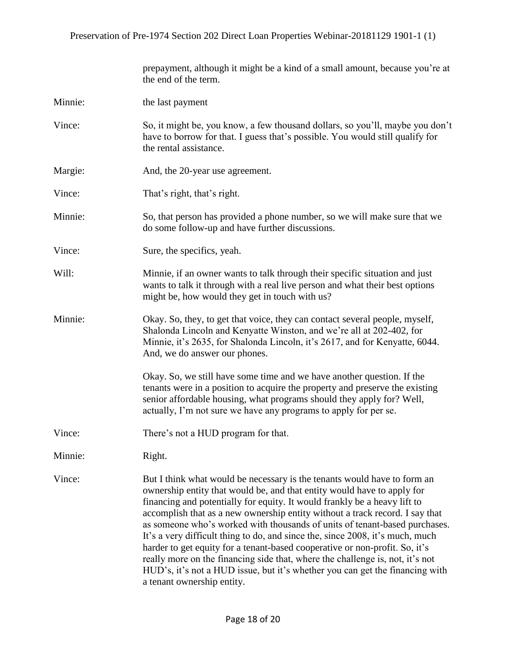|         | prepayment, although it might be a kind of a small amount, because you're at<br>the end of the term.                                                                                                                                                                                                                                                                                                                                                                                                                                                                                                                                                                                                                                                          |
|---------|---------------------------------------------------------------------------------------------------------------------------------------------------------------------------------------------------------------------------------------------------------------------------------------------------------------------------------------------------------------------------------------------------------------------------------------------------------------------------------------------------------------------------------------------------------------------------------------------------------------------------------------------------------------------------------------------------------------------------------------------------------------|
| Minnie: | the last payment                                                                                                                                                                                                                                                                                                                                                                                                                                                                                                                                                                                                                                                                                                                                              |
| Vince:  | So, it might be, you know, a few thousand dollars, so you'll, maybe you don't<br>have to borrow for that. I guess that's possible. You would still qualify for<br>the rental assistance.                                                                                                                                                                                                                                                                                                                                                                                                                                                                                                                                                                      |
| Margie: | And, the 20-year use agreement.                                                                                                                                                                                                                                                                                                                                                                                                                                                                                                                                                                                                                                                                                                                               |
| Vince:  | That's right, that's right.                                                                                                                                                                                                                                                                                                                                                                                                                                                                                                                                                                                                                                                                                                                                   |
| Minnie: | So, that person has provided a phone number, so we will make sure that we<br>do some follow-up and have further discussions.                                                                                                                                                                                                                                                                                                                                                                                                                                                                                                                                                                                                                                  |
| Vince:  | Sure, the specifics, yeah.                                                                                                                                                                                                                                                                                                                                                                                                                                                                                                                                                                                                                                                                                                                                    |
| Will:   | Minnie, if an owner wants to talk through their specific situation and just<br>wants to talk it through with a real live person and what their best options<br>might be, how would they get in touch with us?                                                                                                                                                                                                                                                                                                                                                                                                                                                                                                                                                 |
| Minnie: | Okay. So, they, to get that voice, they can contact several people, myself,<br>Shalonda Lincoln and Kenyatte Winston, and we're all at 202-402, for<br>Minnie, it's 2635, for Shalonda Lincoln, it's 2617, and for Kenyatte, 6044.<br>And, we do answer our phones.                                                                                                                                                                                                                                                                                                                                                                                                                                                                                           |
|         | Okay. So, we still have some time and we have another question. If the<br>tenants were in a position to acquire the property and preserve the existing<br>senior affordable housing, what programs should they apply for? Well,<br>actually, I'm not sure we have any programs to apply for per se.                                                                                                                                                                                                                                                                                                                                                                                                                                                           |
| Vince:  | There's not a HUD program for that.                                                                                                                                                                                                                                                                                                                                                                                                                                                                                                                                                                                                                                                                                                                           |
| Minnie: | Right.                                                                                                                                                                                                                                                                                                                                                                                                                                                                                                                                                                                                                                                                                                                                                        |
| Vince:  | But I think what would be necessary is the tenants would have to form an<br>ownership entity that would be, and that entity would have to apply for<br>financing and potentially for equity. It would frankly be a heavy lift to<br>accomplish that as a new ownership entity without a track record. I say that<br>as someone who's worked with thousands of units of tenant-based purchases.<br>It's a very difficult thing to do, and since the, since 2008, it's much, much<br>harder to get equity for a tenant-based cooperative or non-profit. So, it's<br>really more on the financing side that, where the challenge is, not, it's not<br>HUD's, it's not a HUD issue, but it's whether you can get the financing with<br>a tenant ownership entity. |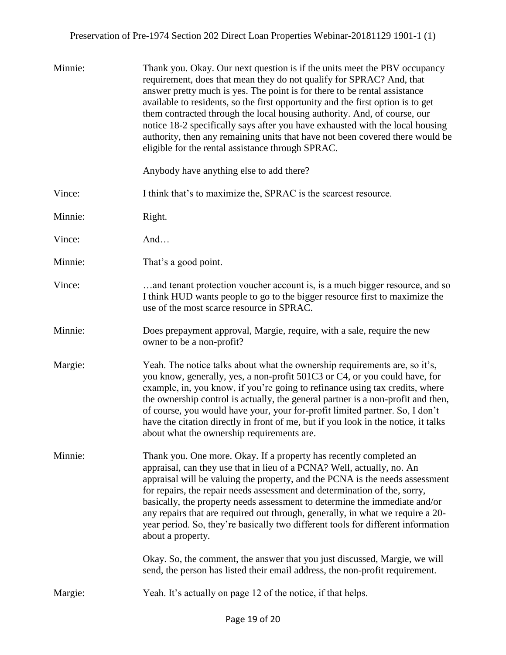| Minnie: | Thank you. Okay. Our next question is if the units meet the PBV occupancy<br>requirement, does that mean they do not qualify for SPRAC? And, that<br>answer pretty much is yes. The point is for there to be rental assistance<br>available to residents, so the first opportunity and the first option is to get<br>them contracted through the local housing authority. And, of course, our<br>notice 18-2 specifically says after you have exhausted with the local housing<br>authority, then any remaining units that have not been covered there would be<br>eligible for the rental assistance through SPRAC.<br>Anybody have anything else to add there? |
|---------|------------------------------------------------------------------------------------------------------------------------------------------------------------------------------------------------------------------------------------------------------------------------------------------------------------------------------------------------------------------------------------------------------------------------------------------------------------------------------------------------------------------------------------------------------------------------------------------------------------------------------------------------------------------|
|         |                                                                                                                                                                                                                                                                                                                                                                                                                                                                                                                                                                                                                                                                  |
| Vince:  | I think that's to maximize the, SPRAC is the scarcest resource.                                                                                                                                                                                                                                                                                                                                                                                                                                                                                                                                                                                                  |
| Minnie: | Right.                                                                                                                                                                                                                                                                                                                                                                                                                                                                                                                                                                                                                                                           |
| Vince:  | And                                                                                                                                                                                                                                                                                                                                                                                                                                                                                                                                                                                                                                                              |
| Minnie: | That's a good point.                                                                                                                                                                                                                                                                                                                                                                                                                                                                                                                                                                                                                                             |
| Vince:  | and tenant protection voucher account is, is a much bigger resource, and so<br>I think HUD wants people to go to the bigger resource first to maximize the<br>use of the most scarce resource in SPRAC.                                                                                                                                                                                                                                                                                                                                                                                                                                                          |
| Minnie: | Does prepayment approval, Margie, require, with a sale, require the new<br>owner to be a non-profit?                                                                                                                                                                                                                                                                                                                                                                                                                                                                                                                                                             |
| Margie: | Yeah. The notice talks about what the ownership requirements are, so it's,<br>you know, generally, yes, a non-profit 501C3 or C4, or you could have, for<br>example, in, you know, if you're going to refinance using tax credits, where<br>the ownership control is actually, the general partner is a non-profit and then,<br>of course, you would have your, your for-profit limited partner. So, I don't<br>have the citation directly in front of me, but if you look in the notice, it talks<br>about what the ownership requirements are.                                                                                                                 |
| Minnie: | Thank you. One more. Okay. If a property has recently completed an<br>appraisal, can they use that in lieu of a PCNA? Well, actually, no. An<br>appraisal will be valuing the property, and the PCNA is the needs assessment<br>for repairs, the repair needs assessment and determination of the, sorry,<br>basically, the property needs assessment to determine the immediate and/or<br>any repairs that are required out through, generally, in what we require a 20-<br>year period. So, they're basically two different tools for different information<br>about a property.                                                                               |
|         | Okay. So, the comment, the answer that you just discussed, Margie, we will<br>send, the person has listed their email address, the non-profit requirement.                                                                                                                                                                                                                                                                                                                                                                                                                                                                                                       |
| Margie: | Yeah. It's actually on page 12 of the notice, if that helps.                                                                                                                                                                                                                                                                                                                                                                                                                                                                                                                                                                                                     |